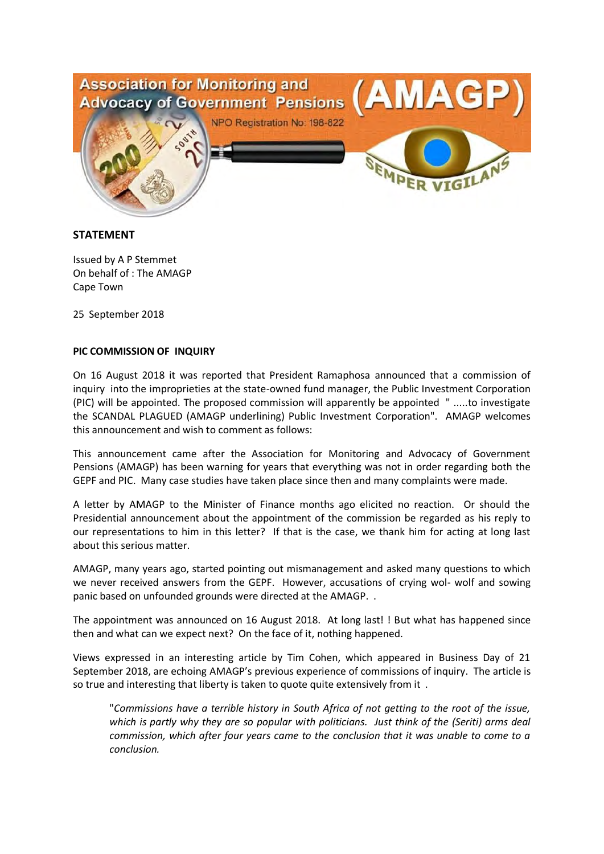

## **STATEMENT**

Issued by A P Stemmet On behalf of : The AMAGP Cape Town

25 September 2018

## **PIC COMMISSION OF INQUIRY**

On 16 August 2018 it was reported that President Ramaphosa announced that a commission of inquiry into the improprieties at the state-owned fund manager, the Public Investment Corporation (PIC) will be appointed. The proposed commission will apparently be appointed " .....to investigate the SCANDAL PLAGUED (AMAGP underlining) Public Investment Corporation". AMAGP welcomes this announcement and wish to comment as follows:

This announcement came after the Association for Monitoring and Advocacy of Government Pensions (AMAGP) has been warning for years that everything was not in order regarding both the GEPF and PIC. Many case studies have taken place since then and many complaints were made.

A letter by AMAGP to the Minister of Finance months ago elicited no reaction. Or should the Presidential announcement about the appointment of the commission be regarded as his reply to our representations to him in this letter? If that is the case, we thank him for acting at long last about this serious matter.

AMAGP, many years ago, started pointing out mismanagement and asked many questions to which we never received answers from the GEPF. However, accusations of crying wol- wolf and sowing panic based on unfounded grounds were directed at the AMAGP. .

The appointment was announced on 16 August 2018. At long last! ! But what has happened since then and what can we expect next? On the face of it, nothing happened.

Views expressed in an interesting article by Tim Cohen, which appeared in Business Day of 21 September 2018, are echoing AMAGP's previous experience of commissions of inquiry. The article is so true and interesting that liberty is taken to quote quite extensively from it .

"*Commissions have a terrible history in South Africa of not getting to the root of the issue, which is partly why they are so popular with politicians. Just think of the (Seriti) arms deal commission, which after four years came to the conclusion that it was unable to come to a conclusion.*